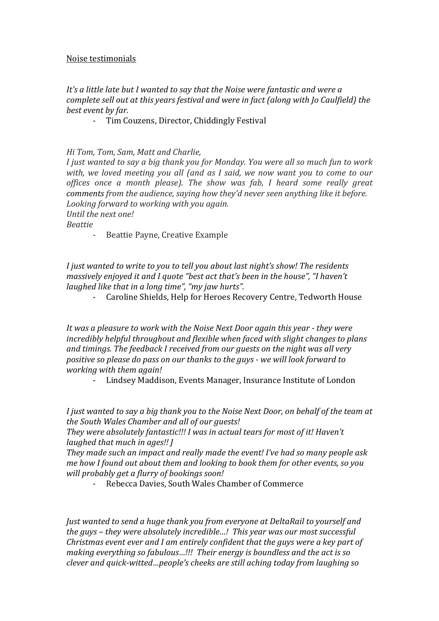## Noise testimonials

## It's a little late but I wanted to say that the Noise were fantastic and were a *complete sell out at this years festival and were in fact (along with Jo Caulfield) the* best event by far.

- Tim Couzens, Director, Chiddingly Festival

## *Hi Tom, Tom, Sam, Matt and Charlie,*

*I* just wanted to say a big thank you for Monday. You were all so much fun to work *with, we loved meeting you all (and as I said, we now want you to come to our offices once a month please). The show was fab, I heard some really great comments* from the audience, saying how they'd never seen anything like it before. Looking forward to working with you again. *<u>Until</u>* the next one!

*Beattie*

- Beattie Payne, Creative Example

*I* just wanted to write to you to tell you about last night's show! The residents *massively enjoyed it and I quote "best act that's been in the house", "I haven't laughed like that in a long time", "my jaw hurts".* 

Caroline Shields, Help for Heroes Recovery Centre, Tedworth House

*It* was a pleasure to work with the Noise Next Door again this year - they were *incredibly helpful throughout and flexible when faced with slight changes to plans* and timings. The feedback I received from our guests on the night was all very *positive so please do pass on our thanks to the guys - we will look forward to working with them again!*

- Lindsey Maddison, Events Manager, Insurance Institute of London

*I* just wanted to say a big thank you to the Noise Next Door, on behalf of the team at the South Wales Chamber and all of our quests!

They were absolutely fantastic!!! I was in actual tears for most of it! Haven't *laughed that much in ages!! I* 

*They* made such an impact and really made the event! I've had so many people ask *me how I found out about them and looking to book them for other events, so you will probably get a flurry of bookings soon!* 

- Rebecca Davies, South Wales Chamber of Commerce

*Just* wanted to send a huge thank you from everyone at DeltaRail to yourself and *the guys* – *they* were absolutely incredible...! This year was our most successful *Christmas event ever and I am entirely confident that the guys were a key part of making everything so fabulous...!!! Their energy is boundless and the act is so clever and quick-witted...people's cheeks are still aching today from laughing so*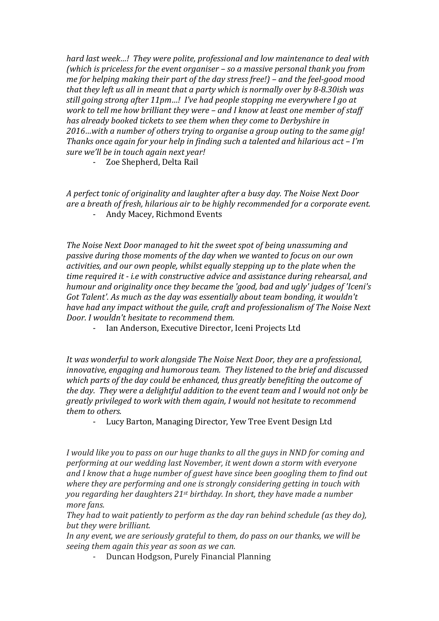*hard last week...!* They were polite, professional and low maintenance to deal with *(which is priceless for the event organiser – so a massive personal thank you from me* for helping making their part of the day stress free!) – and the feel-good mood *that they left us all in meant that a party which is normally over by 8-8.30ish was still going strong after 11pm...! I've had people stopping me everywhere I go at work to tell me how brilliant they were – and I know at least one member of staff has already booked tickets to see them when they come to Derbyshire in 2016…with a number of others trying to organise a group outing to the same gig! Thanks once again for your help in finding such a talented and hilarious act – I'm sure* we'll be in touch again next year!

- Zoe Shepherd, Delta Rail

A perfect *tonic of originality and laughter after a busy day.* The Noise Next Door *are a breath of fresh, hilarious air to be highly recommended for a corporate event.* Andy Macey, Richmond Events

The Noise Next Door managed to hit the sweet spot of being unassuming and passive during those moments of the day when we wanted to focus on our own *activities, and our own people, whilst equally stepping up to the plate when the time required it - i.e with constructive advice and assistance during rehearsal, and humour and originality once they became the 'good, bad and ugly' judges of 'Iceni's Got Talent'.* As much as the day was essentially about team bonding, it wouldn't *have had any impact without the guile, craft and professionalism of The Noise Next Door.* I wouldn't hesitate to recommend them.

- Ian Anderson, Executive Director, Iceni Projects Ltd

*It* was wonderful to work alongside The Noise Next Door, they are a professional, *innovative, engaging and humorous team. They listened to the brief and discussed* which parts of the day could be enhanced, thus greatly benefiting the outcome of *the day.* They were a delightful addition to the event team and I would not only be *greatly privileged to work with them again, I would not hesitate to recommend them to others.*

- Lucy Barton, Managing Director, Yew Tree Event Design Ltd

*I* would like you to pass on our huge thanks to all the guys in NND for coming and *performing at our wedding last November, it went down a storm with everyone* and I know that a huge number of guest have since been googling them to find out where they are performing and one is strongly considering getting in touch with *you regarding her daughters* 21<sup>st</sup> birthday. In short, they have made a number *more fans.*

*They* had to wait patiently to perform as the day ran behind schedule (as they do), *but they were brilliant.*

*In any event, we are seriously grateful to them, do pass on our thanks, we will be seeing them again this year as soon as we can.* 

- Duncan Hodgson, Purely Financial Planning